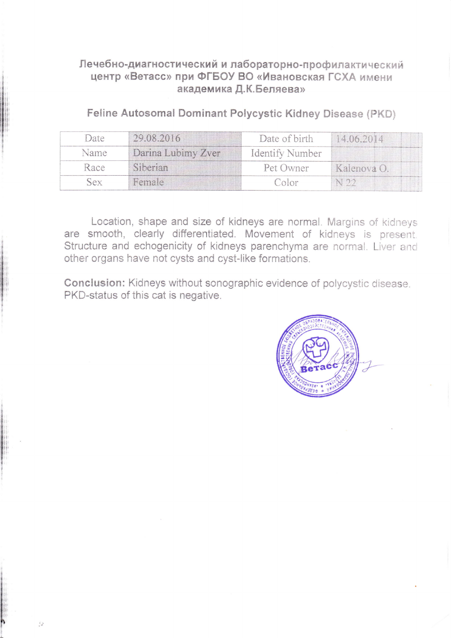# Лечебно-диагностический и лабораторно-профилактический центр «Ветасс» при ФГБОУ ВО «Ивановская ГСХА имени академика Д.К.Беляева»

Feline Autosomal Dominant Polycystic Kidney Disease (PKD)

| Date | 29.08.2016         | Date of birth   | 14.06.2014  |
|------|--------------------|-----------------|-------------|
| Name | Darina Lubimy Zver | Identify Number |             |
| Race | Siberian           | Pet Owner       | Kalenova O. |
| VAY  | Female             | Color           | N22         |

Location, shape and size of kidneys are normal. Margins of kidneys are smooth, clearly differentiated. Movement of kidneys is present. Structure and echogenicity of kidneys parenchyma are normal. Liver and other organs have not cysts and cyst-like formations.

Conclusion: Kidneys without sonographic evidence of polycystic disease. PKD-status of this cat is negative.